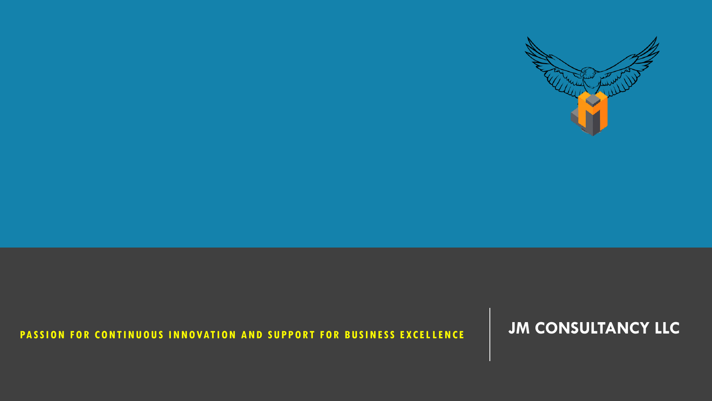## PASSION FOR CONTINUOUS INNOVATION AND SUPPORT FOR BUSINESS EXCELLENCE **And CONSULTANCY LLC**

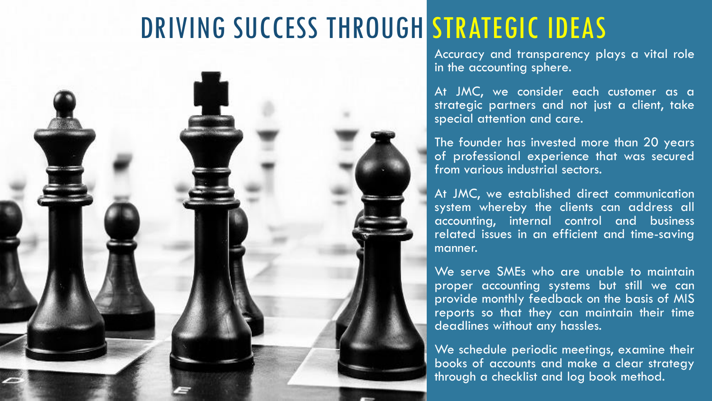# DRIVING SUCCESS THROUGH STRATEGIC IDEAS



Accuracy and transparency plays a vital role in the accounting sphere.

At JMC, we consider each customer as a strategic partners and not just a client, take special attention and care.

The founder has invested more than 20 years of professional experience that was secured from various industrial sectors.

At JMC, we established direct communication system whereby the clients can address all accounting, internal control and business related issues in an efficient and time-saving manner.

We serve SMEs who are unable to maintain proper accounting systems but still we can provide monthly feedback on the basis of MIS reports so that they can maintain their time deadlines without any hassles.

We schedule periodic meetings, examine their books of accounts and make a clear strategy through a checklist and log book method.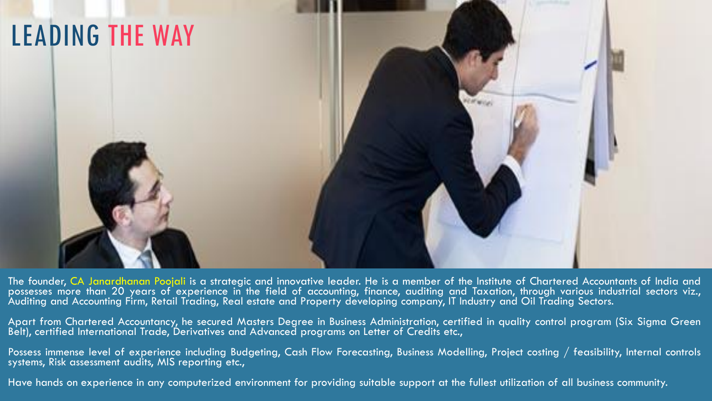

The founder, CA Janardhanan Poojali is a strategic and innovative leader. He is a member of the Institute of Chartered Accountants of India and possesses more than 20 years of experience in the field of accounting, finance, auditing and Taxation, through various industrial sectors viz., Auditing and Accounting Firm, Retail Trading, Real estate and Property developing company, IT Industry and Oil Trading Sectors.

Apart from Chartered Accountancy, he secured Masters Degree in Business Administration, certified in quality control program (Six Sigma Green Belt), certified International Trade, Derivatives and Advanced programs on Letter of Credits etc.,

Possess immense level of experience including Budgeting, Cash Flow Forecasting, Business Modelling, Project costing / feasibility, Internal controls systems, Risk assessment audits, MIS reporting etc.,

Have hands on experience in any computerized environment for providing suitable support at the fullest utilization of all business community.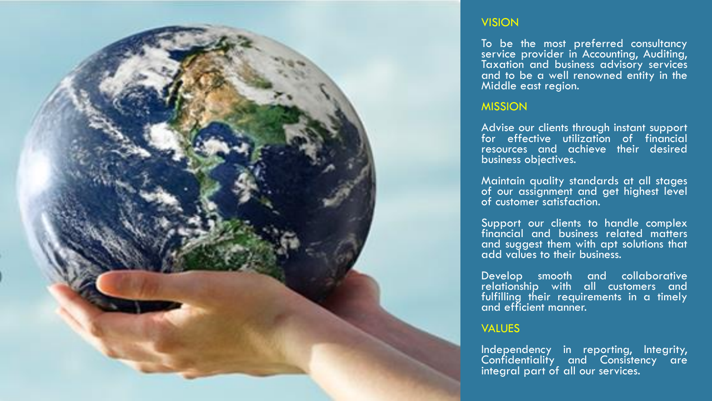

#### **VISION**

To be the most preferred consultancy service provider in Accounting, Auditing, Taxation and business advisory services and to be a well renowned entity in the Middle east region.

#### MISSION

Advise our clients through instant support for effective utilization of financial resources and achieve their desired business objectives.

Maintain quality standards at all stages of our assignment and get highest level of customer satisfaction.

Support our clients to handle complex financial and business related matters and suggest them with apt solutions that add values to their business.

Develop smooth and collaborative relationship with all customers and fulfilling their requirements in a timely and efficient manner.

#### VALUES

Independency in reporting, Integrity, Confidentiality and Consistency are integral part of all our services.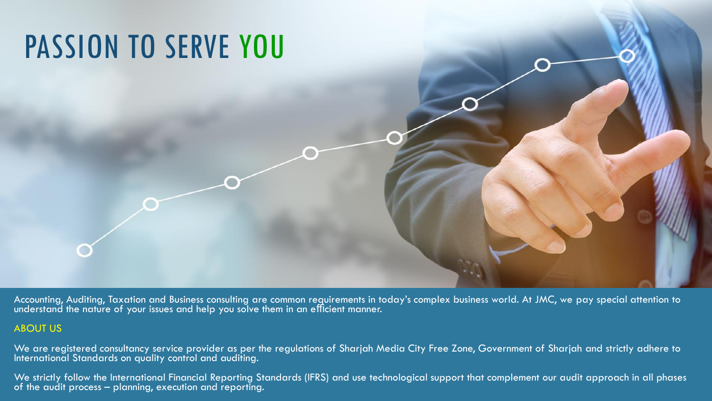

Accounting, Auditing, Taxation and Business consulting are common requirements in today's complex business world. At JMC, we pay special attention to understand the nature of your issues and help you solve them in an efficient manner.

#### ABOUT US

We are registered consultancy service provider as per the regulations of Sharjah Media City Free Zone, Government of Sharjah and strictly adhere to International Standards on quality control and auditing.

We strictly follow the International Financial Reporting Standards (IFRS) and use technological support that complement our audit approach in all phases of the audit process – planning, execution and reporting.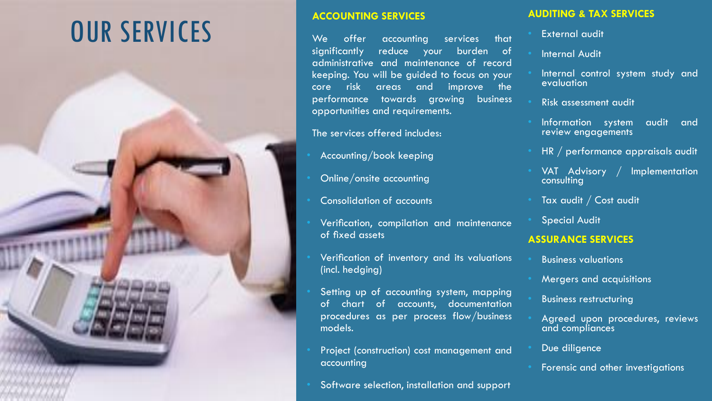# OUR SERVICES



We offer accounting services that significantly reduce your burden of administrative and maintenance of record keeping. You will be guided to focus on your core risk areas and improve the performance towards growing business opportunities and requirements.

#### The services offered includes:

- Accounting/book keeping
- Online/onsite accounting
- Consolidation of accounts
- Verification, compilation and maintenance of fixed assets
- Verification of inventory and its valuations (incl. hedging)
- Setting up of accounting system, mapping of chart of accounts, documentation procedures as per process flow/business models.
- Project (construction) cost management and accounting
- Software selection, installation and support

#### **AUDITING & TAX SERVICES**

- **External audit**
- **Internal Audit**
- Internal control system study and evaluation
- Risk assessment audit
- Information system audit and review engagements
- HR / performance appraisals audit
- VAT Advisory / Implementation **consulting**
- Tax audit / Cost audit
- **Special Audit**

#### **ASSURANCE SERVICES**

- Business valuations
- Mergers and acquisitions
- Business restructuring
- Agreed upon procedures, reviews and compliances
- Due diligence
- Forensic and other investigations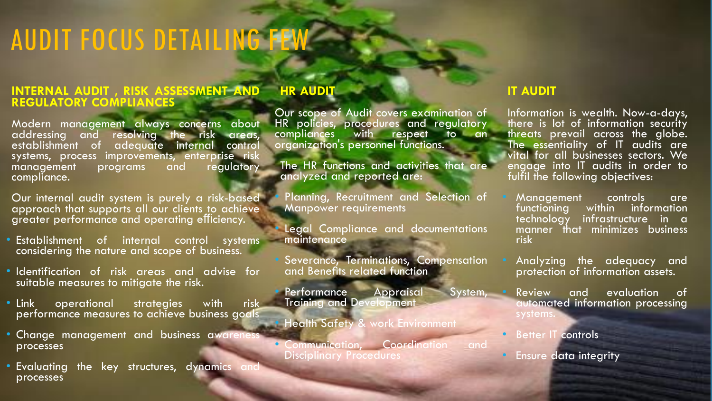# AUDIT FOCUS DETAILING FEW

#### **INTERNAL AUDIT , RISK ASSESSMENT AND REGULATORY COMPLIANCES**

Modern management always concerns about addressing and resolving the risk areas,<br>establishment of adequate internal control adequate internal systems, process improvements, enterprise risk management programs and regulatory compliance.

Our internal audit system is purely a risk-based approach that supports all our clients to achieve greater performance and operating efficiency.

- **Establishment** of internal control systems considering the nature and scope of business.
- Identification of risk areas and advise for suitable measures to mitigate the risk.
- Link operational strategies with risk performance measures to achieve business goals
- Change management and business awarenes processes
- **Evaluating the key structures, dynamics and Evaluating the key structures** processes

#### **HR AUDIT**

Our scope of Audit covers examination of HR policies, procedures and regulatory with respect to an organization's personnel functions.

The HR functions and activities that are analyzed and reported are:

Planning, Recruitment and Selection of Manpower requirements

Legal Compliance and documentations maintenance

• Severance, Terminations, Compensation and Benefits related function

Performance Appraisal System, Training and Development

• Health Safety & work Environment

• Communication, Coordination and Disciplinary Procedures

#### **IT AUDIT**

Information is wealth. Now-a-days, there is lot of information security threats prevail across the globe. The essentiality of IT audits are vital for all businesses sectors. We engage into IT audits in order to fulfil the following objectives:

- Management controls are<br>functioning within information within information technology infrastructure in a manner that minimizes business risk
- Analyzing the adequacy and protection of information assets.
- Review and evaluation of automated information processing systems.
- Better IT controls
- Ensure data integrity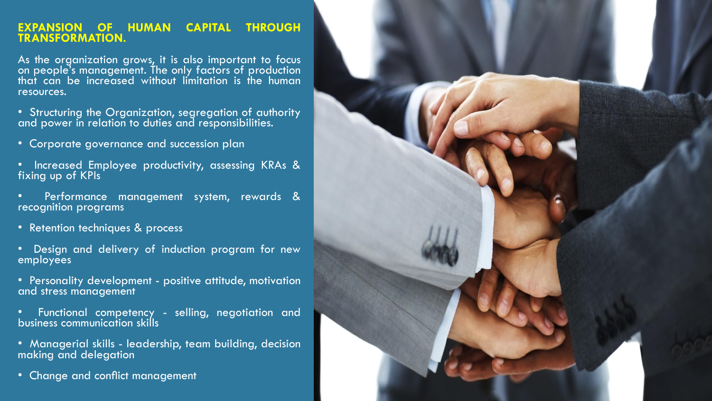#### **EXPANSION OF HUMAN CAPITAL THROUGH TRANSFORMATION.**

As the organization grows, it is also important to focus on people's management. The only factors of production that can be increased without limitation is the human resources.

• Structuring the Organization, segregation of authority and power in relation to duties and responsibilities.

- Corporate governance and succession plan
- Increased Employee productivity, assessing KRAs & fixing up of KPIs
- Performance management system, rewards & recognition programs
- Retention techniques & process
- Design and delivery of induction program for new employees
- Personality development positive attitude, motivation and stress management
- Functional competency selling, negotiation and business communication skills
- Managerial skills leadership, team building, decision making and delegation
- Change and conflict management

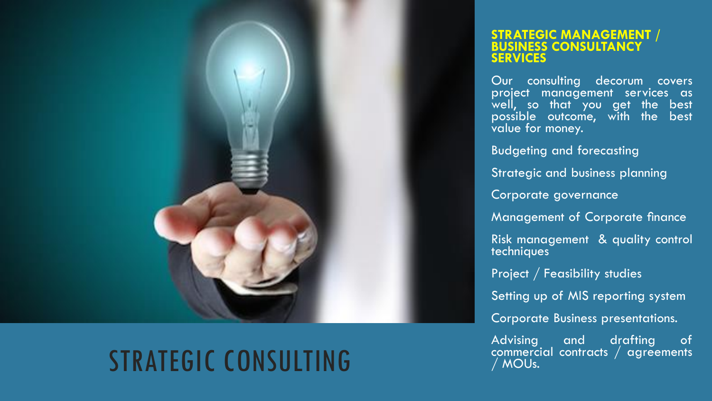

# STRATEGIC CONSULTING

#### **STRATEGIC MANAGEMENT / BUSINESS CONSULTANCY SERVICES**

Our consulting decorum covers project management services as well, so that you get the best possible outcome, with the best value for money.

Budgeting and forecasting

Strategic and business planning

Corporate governance

Management of Corporate finance

Risk management & quality control techniques

Project / Feasibility studies

Setting up of MIS reporting system

Corporate Business presentations.

Advising and drafting of commercial contracts / agreements / MOUs.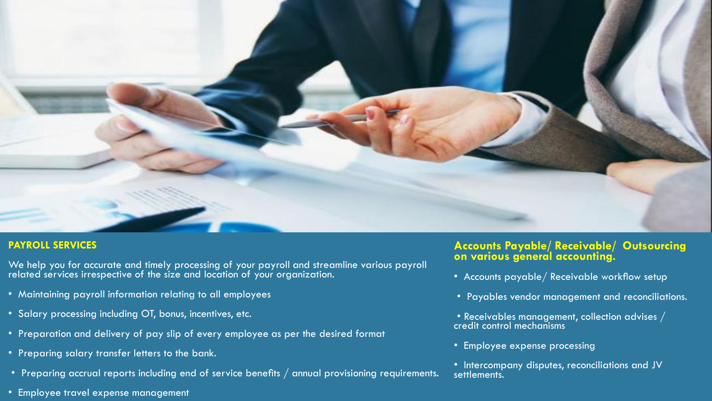

#### **PAYROLL SERVICES**

We help you for accurate and timely processing of your payroll and streamline various payroll related services irrespective of the size and location of your organization.

- Maintaining payroll information relating to all employees
- Salary processing including OT, bonus, incentives, etc.
- Preparation and delivery of pay slip of every employee as per the desired format
- Preparing salary transfer letters to the bank.
- Preparing accrual reports including end of service benefits / annual provisioning requirements.
- Employee travel expense management

#### **Accounts Payable/ Receivable/ Outsourcing on various general accounting.**

- Accounts payable/ Receivable workflow setup
- Payables vendor management and reconciliations.
- Receivables management, collection advises  $\overline{\phantom{a}}$ credit control mechanisms
- Employee expense processing
- Intercompany disputes, reconciliations and JV settlements.